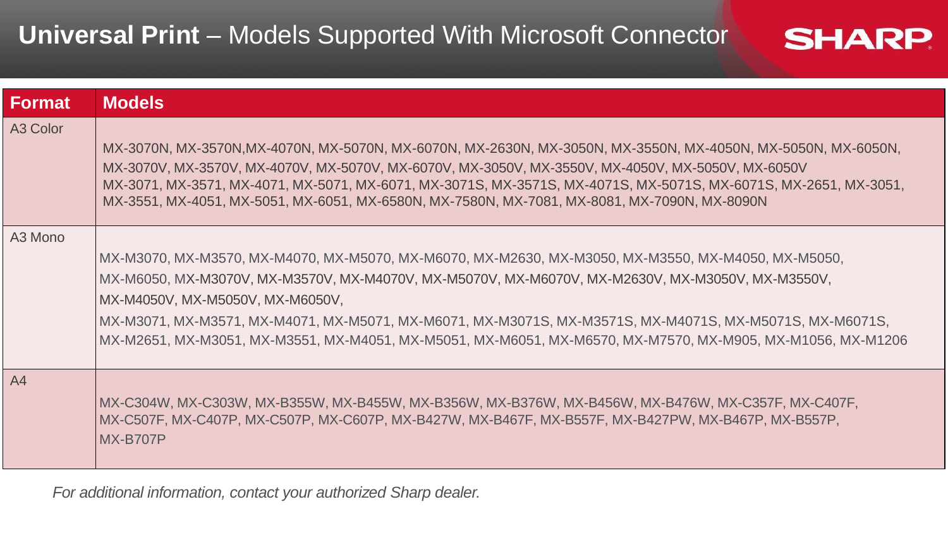## **Universal Print** – Models Supported With Microsoft Connector

| <b>Format</b>  | <b>Models</b>                                                                                                                                                                                                                                                                                                                                                                                                                                                           |
|----------------|-------------------------------------------------------------------------------------------------------------------------------------------------------------------------------------------------------------------------------------------------------------------------------------------------------------------------------------------------------------------------------------------------------------------------------------------------------------------------|
| A3 Color       | MX-3070N, MX-3570N,MX-4070N, MX-5070N, MX-6070N, MX-2630N, MX-3050N, MX-3550N, MX-4050N, MX-5050N, MX-6050N,<br>MX-3070V, MX-3570V, MX-4070V, MX-5070V, MX-6070V, MX-3050V, MX-3550V, MX-4050V, MX-5050V, MX-6050V<br>MX-3071, MX-3571, MX-4071, MX-5071, MX-6071, MX-3071S, MX-3571S, MX-4071S, MX-5071S, MX-6071S, MX-2651, MX-3051,<br>MX-3551, MX-4051, MX-5051, MX-6051, MX-6580N, MX-7580N, MX-7081, MX-8081, MX-7090N, MX-8090N                                  |
| A3 Mono        | MX-M3070, MX-M3570, MX-M4070, MX-M5070, MX-M6070, MX-M2630, MX-M3050, MX-M3550, MX-M4050, MX-M5050,<br>MX-M6050, MX-M3070V, MX-M3570V, MX-M4070V, MX-M5070V, MX-M6070V, MX-M2630V, MX-M3050V, MX-M3550V,<br>MX-M4050V, MX-M5050V, MX-M6050V,<br>MX-M3071, MX-M3571, MX-M4071, MX-M5071, MX-M6071, MX-M3071S, MX-M3571S, MX-M4071S, MX-M5071S, MX-M6071S,<br>MX-M2651, MX-M3051, MX-M3551, MX-M4051, MX-M5051, MX-M6051, MX-M6570, MX-M7570, MX-M905, MX-M1056, MX-M1206 |
| A <sub>4</sub> | MX-C304W, MX-C303W, MX-B355W, MX-B455W, MX-B356W, MX-B376W, MX-B456W, MX-B476W, MX-C357F, MX-C407F,<br>MX-C507F, MX-C407P, MX-C507P, MX-C607P, MX-B427W, MX-B467F, MX-B557F, MX-B427PW, MX-B467P, MX-B557P,<br><b>MX-B707P</b>                                                                                                                                                                                                                                          |

**SHARP** 

*For additional information, contact your authorized Sharp dealer.*